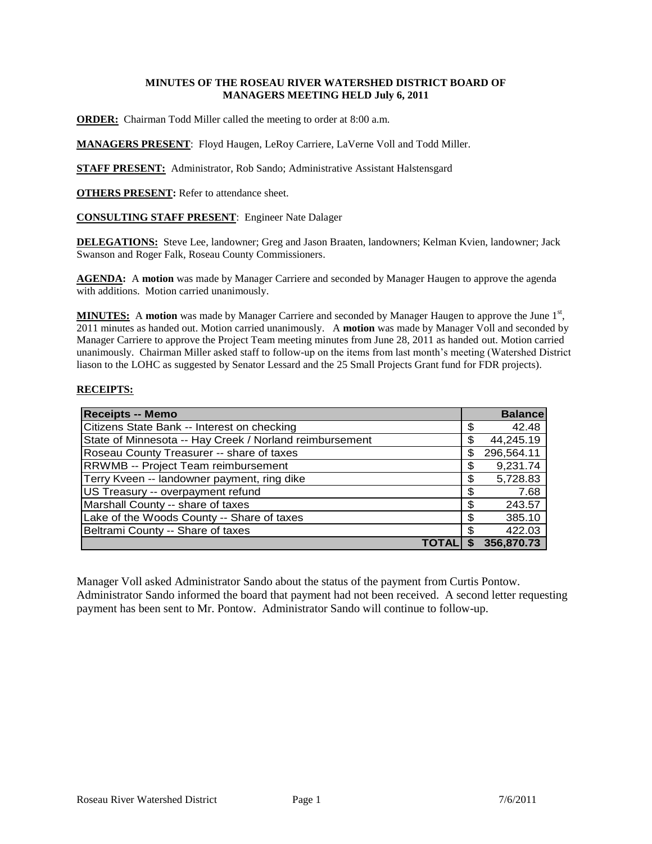## **MINUTES OF THE ROSEAU RIVER WATERSHED DISTRICT BOARD OF MANAGERS MEETING HELD July 6, 2011**

**ORDER:** Chairman Todd Miller called the meeting to order at 8:00 a.m.

**MANAGERS PRESENT**: Floyd Haugen, LeRoy Carriere, LaVerne Voll and Todd Miller.

**STAFF PRESENT:** Administrator, Rob Sando; Administrative Assistant Halstensgard

**OTHERS PRESENT:** Refer to attendance sheet.

### **CONSULTING STAFF PRESENT**: Engineer Nate Dalager

**DELEGATIONS:** Steve Lee, landowner; Greg and Jason Braaten, landowners; Kelman Kvien, landowner; Jack Swanson and Roger Falk, Roseau County Commissioners.

**AGENDA:** A **motion** was made by Manager Carriere and seconded by Manager Haugen to approve the agenda with additions. Motion carried unanimously.

MINUTES: A motion was made by Manager Carriere and seconded by Manager Haugen to approve the June 1<sup>st</sup>, 2011 minutes as handed out. Motion carried unanimously. A **motion** was made by Manager Voll and seconded by Manager Carriere to approve the Project Team meeting minutes from June 28, 2011 as handed out. Motion carried unanimously. Chairman Miller asked staff to follow-up on the items from last month's meeting (Watershed District liason to the LOHC as suggested by Senator Lessard and the 25 Small Projects Grant fund for FDR projects).

### **RECEIPTS:**

| <b>Receipts -- Memo</b>                                 |    | <b>Balance</b> |
|---------------------------------------------------------|----|----------------|
| Citizens State Bank -- Interest on checking             | S  | 42.48          |
| State of Minnesota -- Hay Creek / Norland reimbursement | \$ | 44,245.19      |
| Roseau County Treasurer -- share of taxes               | \$ | 296,564.11     |
| RRWMB -- Project Team reimbursement                     | \$ | 9,231.74       |
| Terry Kveen -- landowner payment, ring dike             | \$ | 5,728.83       |
| US Treasury -- overpayment refund                       | \$ | 7.68           |
| Marshall County -- share of taxes                       | \$ | 243.57         |
| Lake of the Woods County -- Share of taxes              | \$ | 385.10         |
| Beltrami County -- Share of taxes                       | \$ | 422.03         |
|                                                         | S  | 356,870.73     |

Manager Voll asked Administrator Sando about the status of the payment from Curtis Pontow. Administrator Sando informed the board that payment had not been received. A second letter requesting payment has been sent to Mr. Pontow. Administrator Sando will continue to follow-up.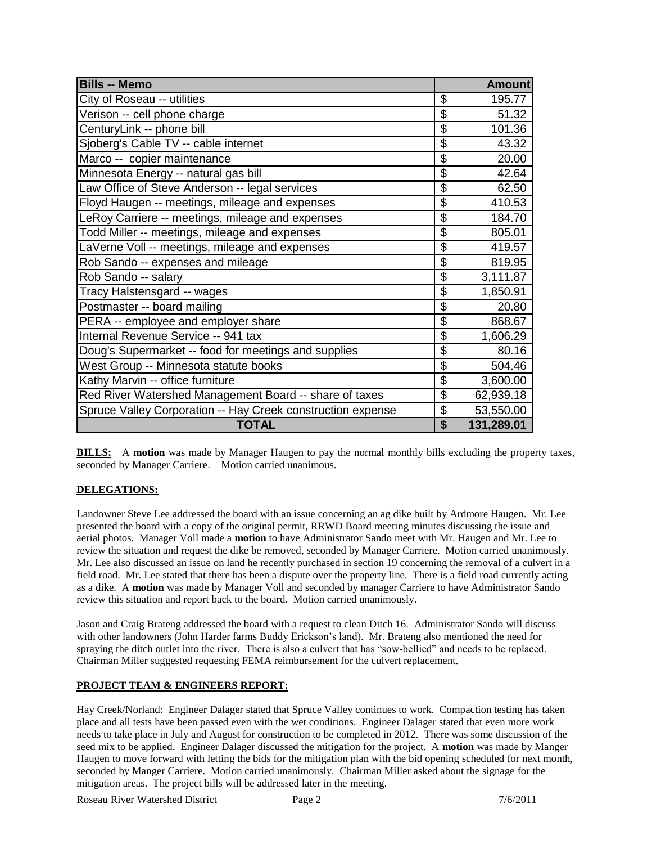| <b>Bills -- Memo</b>                                        |                           | <b>Amount</b> |
|-------------------------------------------------------------|---------------------------|---------------|
| City of Roseau -- utilities                                 | \$                        | 195.77        |
| Verison -- cell phone charge                                | \$                        | 51.32         |
| CenturyLink -- phone bill                                   | \$                        | 101.36        |
| Sjoberg's Cable TV -- cable internet                        | \$                        | 43.32         |
| Marco -- copier maintenance                                 | $\overline{\mathcal{S}}$  | 20.00         |
| Minnesota Energy -- natural gas bill                        | \$                        | 42.64         |
| Law Office of Steve Anderson -- legal services              | \$                        | 62.50         |
| Floyd Haugen -- meetings, mileage and expenses              | \$                        | 410.53        |
| LeRoy Carriere -- meetings, mileage and expenses            | \$                        | 184.70        |
| Todd Miller -- meetings, mileage and expenses               | \$                        | 805.01        |
| LaVerne Voll -- meetings, mileage and expenses              | \$                        | 419.57        |
| Rob Sando -- expenses and mileage                           | $\overline{\mathcal{L}}$  | 819.95        |
| Rob Sando -- salary                                         | \$                        | 3,111.87      |
| Tracy Halstensgard -- wages                                 | \$                        | 1,850.91      |
| Postmaster -- board mailing                                 | $\overline{\mathcal{S}}$  | 20.80         |
| PERA -- employee and employer share                         | $\overline{\mathfrak{s}}$ | 868.67        |
| Internal Revenue Service -- 941 tax                         | \$                        | 1,606.29      |
| Doug's Supermarket -- food for meetings and supplies        | $\overline{\mathcal{L}}$  | 80.16         |
| West Group -- Minnesota statute books                       | \$                        | 504.46        |
| Kathy Marvin -- office furniture                            | \$                        | 3,600.00      |
| Red River Watershed Management Board -- share of taxes      | \$                        | 62,939.18     |
| Spruce Valley Corporation -- Hay Creek construction expense | \$                        | 53,550.00     |
| <b>TOTAL</b>                                                | \$                        | 131,289.01    |

**BILLS:** A **motion** was made by Manager Haugen to pay the normal monthly bills excluding the property taxes, seconded by Manager Carriere. Motion carried unanimous.

## **DELEGATIONS:**

Landowner Steve Lee addressed the board with an issue concerning an ag dike built by Ardmore Haugen. Mr. Lee presented the board with a copy of the original permit, RRWD Board meeting minutes discussing the issue and aerial photos. Manager Voll made a **motion** to have Administrator Sando meet with Mr. Haugen and Mr. Lee to review the situation and request the dike be removed, seconded by Manager Carriere. Motion carried unanimously. Mr. Lee also discussed an issue on land he recently purchased in section 19 concerning the removal of a culvert in a field road. Mr. Lee stated that there has been a dispute over the property line. There is a field road currently acting as a dike. A **motion** was made by Manager Voll and seconded by manager Carriere to have Administrator Sando review this situation and report back to the board. Motion carried unanimously.

Jason and Craig Brateng addressed the board with a request to clean Ditch 16. Administrator Sando will discuss with other landowners (John Harder farms Buddy Erickson's land). Mr. Brateng also mentioned the need for spraying the ditch outlet into the river. There is also a culvert that has "sow-bellied" and needs to be replaced. Chairman Miller suggested requesting FEMA reimbursement for the culvert replacement.

# **PROJECT TEAM & ENGINEERS REPORT:**

Hay Creek/Norland: Engineer Dalager stated that Spruce Valley continues to work. Compaction testing has taken place and all tests have been passed even with the wet conditions. Engineer Dalager stated that even more work needs to take place in July and August for construction to be completed in 2012. There was some discussion of the seed mix to be applied. Engineer Dalager discussed the mitigation for the project. A **motion** was made by Manger Haugen to move forward with letting the bids for the mitigation plan with the bid opening scheduled for next month, seconded by Manger Carriere. Motion carried unanimously. Chairman Miller asked about the signage for the mitigation areas. The project bills will be addressed later in the meeting.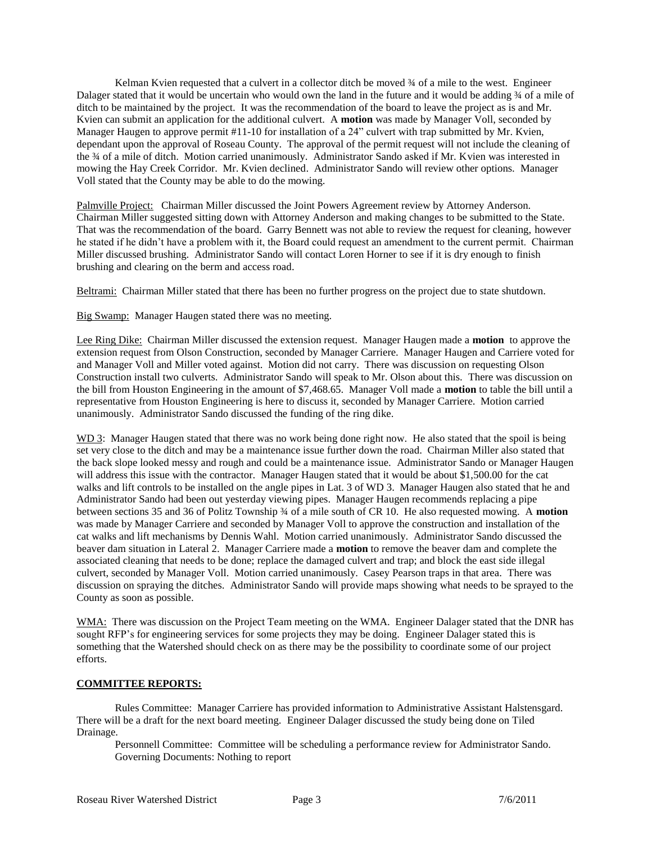Kelman Kvien requested that a culvert in a collector ditch be moved  $\frac{3}{4}$  of a mile to the west. Engineer Dalager stated that it would be uncertain who would own the land in the future and it would be adding  $\frac{3}{4}$  of a mile of ditch to be maintained by the project. It was the recommendation of the board to leave the project as is and Mr. Kvien can submit an application for the additional culvert. A **motion** was made by Manager Voll, seconded by Manager Haugen to approve permit #11-10 for installation of a 24" culvert with trap submitted by Mr. Kvien, dependant upon the approval of Roseau County. The approval of the permit request will not include the cleaning of the  $\frac{3}{4}$  of a mile of ditch. Motion carried unanimously. Administrator Sando asked if Mr. Kvien was interested in mowing the Hay Creek Corridor. Mr. Kvien declined. Administrator Sando will review other options. Manager Voll stated that the County may be able to do the mowing.

Palmville Project: Chairman Miller discussed the Joint Powers Agreement review by Attorney Anderson. Chairman Miller suggested sitting down with Attorney Anderson and making changes to be submitted to the State. That was the recommendation of the board. Garry Bennett was not able to review the request for cleaning, however he stated if he didn't have a problem with it, the Board could request an amendment to the current permit. Chairman Miller discussed brushing. Administrator Sando will contact Loren Horner to see if it is dry enough to finish brushing and clearing on the berm and access road.

Beltrami: Chairman Miller stated that there has been no further progress on the project due to state shutdown.

Big Swamp: Manager Haugen stated there was no meeting.

Lee Ring Dike: Chairman Miller discussed the extension request. Manager Haugen made a **motion** to approve the extension request from Olson Construction, seconded by Manager Carriere. Manager Haugen and Carriere voted for and Manager Voll and Miller voted against. Motion did not carry. There was discussion on requesting Olson Construction install two culverts. Administrator Sando will speak to Mr. Olson about this. There was discussion on the bill from Houston Engineering in the amount of \$7,468.65. Manager Voll made a **motion** to table the bill until a representative from Houston Engineering is here to discuss it, seconded by Manager Carriere. Motion carried unanimously. Administrator Sando discussed the funding of the ring dike.

WD 3: Manager Haugen stated that there was no work being done right now. He also stated that the spoil is being set very close to the ditch and may be a maintenance issue further down the road. Chairman Miller also stated that the back slope looked messy and rough and could be a maintenance issue. Administrator Sando or Manager Haugen will address this issue with the contractor. Manager Haugen stated that it would be about \$1,500.00 for the cat walks and lift controls to be installed on the angle pipes in Lat. 3 of WD 3. Manager Haugen also stated that he and Administrator Sando had been out yesterday viewing pipes. Manager Haugen recommends replacing a pipe between sections 35 and 36 of Politz Township ¾ of a mile south of CR 10. He also requested mowing. A **motion**  was made by Manager Carriere and seconded by Manager Voll to approve the construction and installation of the cat walks and lift mechanisms by Dennis Wahl. Motion carried unanimously. Administrator Sando discussed the beaver dam situation in Lateral 2. Manager Carriere made a **motion** to remove the beaver dam and complete the associated cleaning that needs to be done; replace the damaged culvert and trap; and block the east side illegal culvert, seconded by Manager Voll. Motion carried unanimously. Casey Pearson traps in that area. There was discussion on spraying the ditches. Administrator Sando will provide maps showing what needs to be sprayed to the County as soon as possible.

WMA: There was discussion on the Project Team meeting on the WMA. Engineer Dalager stated that the DNR has sought RFP's for engineering services for some projects they may be doing. Engineer Dalager stated this is something that the Watershed should check on as there may be the possibility to coordinate some of our project efforts.

### **COMMITTEE REPORTS:**

Rules Committee: Manager Carriere has provided information to Administrative Assistant Halstensgard. There will be a draft for the next board meeting. Engineer Dalager discussed the study being done on Tiled Drainage.

Personnell Committee: Committee will be scheduling a performance review for Administrator Sando. Governing Documents: Nothing to report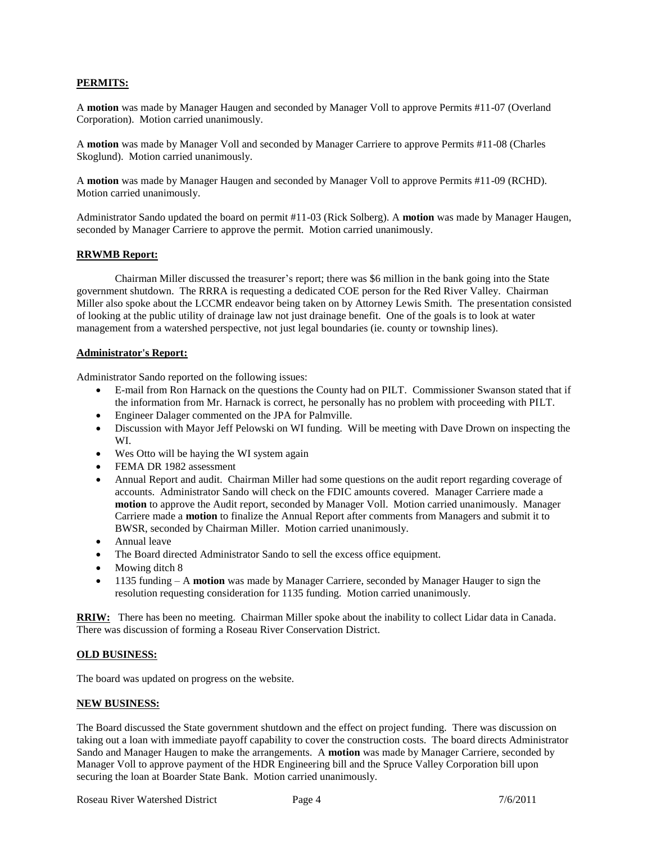# **PERMITS:**

A **motion** was made by Manager Haugen and seconded by Manager Voll to approve Permits #11-07 (Overland Corporation). Motion carried unanimously.

A **motion** was made by Manager Voll and seconded by Manager Carriere to approve Permits #11-08 (Charles Skoglund). Motion carried unanimously.

A **motion** was made by Manager Haugen and seconded by Manager Voll to approve Permits #11-09 (RCHD). Motion carried unanimously.

Administrator Sando updated the board on permit #11-03 (Rick Solberg). A **motion** was made by Manager Haugen, seconded by Manager Carriere to approve the permit. Motion carried unanimously.

### **RRWMB Report:**

Chairman Miller discussed the treasurer's report; there was \$6 million in the bank going into the State government shutdown. The RRRA is requesting a dedicated COE person for the Red River Valley. Chairman Miller also spoke about the LCCMR endeavor being taken on by Attorney Lewis Smith. The presentation consisted of looking at the public utility of drainage law not just drainage benefit. One of the goals is to look at water management from a watershed perspective, not just legal boundaries (ie. county or township lines).

### **Administrator's Report:**

Administrator Sando reported on the following issues:

- E-mail from Ron Harnack on the questions the County had on PILT. Commissioner Swanson stated that if the information from Mr. Harnack is correct, he personally has no problem with proceeding with PILT.
- Engineer Dalager commented on the JPA for Palmville.
- Discussion with Mayor Jeff Pelowski on WI funding. Will be meeting with Dave Drown on inspecting the WI.
- Wes Otto will be haying the WI system again
- FEMA DR 1982 assessment
- Annual Report and audit. Chairman Miller had some questions on the audit report regarding coverage of accounts. Administrator Sando will check on the FDIC amounts covered. Manager Carriere made a **motion** to approve the Audit report, seconded by Manager Voll. Motion carried unanimously. Manager Carriere made a **motion** to finalize the Annual Report after comments from Managers and submit it to BWSR, seconded by Chairman Miller. Motion carried unanimously.
- Annual leave
- The Board directed Administrator Sando to sell the excess office equipment.
- Mowing ditch 8
- 1135 funding A **motion** was made by Manager Carriere, seconded by Manager Hauger to sign the resolution requesting consideration for 1135 funding. Motion carried unanimously.

**RRIW:** There has been no meeting. Chairman Miller spoke about the inability to collect Lidar data in Canada. There was discussion of forming a Roseau River Conservation District.

### **OLD BUSINESS:**

The board was updated on progress on the website.

### **NEW BUSINESS:**

The Board discussed the State government shutdown and the effect on project funding. There was discussion on taking out a loan with immediate payoff capability to cover the construction costs. The board directs Administrator Sando and Manager Haugen to make the arrangements. A **motion** was made by Manager Carriere, seconded by Manager Voll to approve payment of the HDR Engineering bill and the Spruce Valley Corporation bill upon securing the loan at Boarder State Bank. Motion carried unanimously.